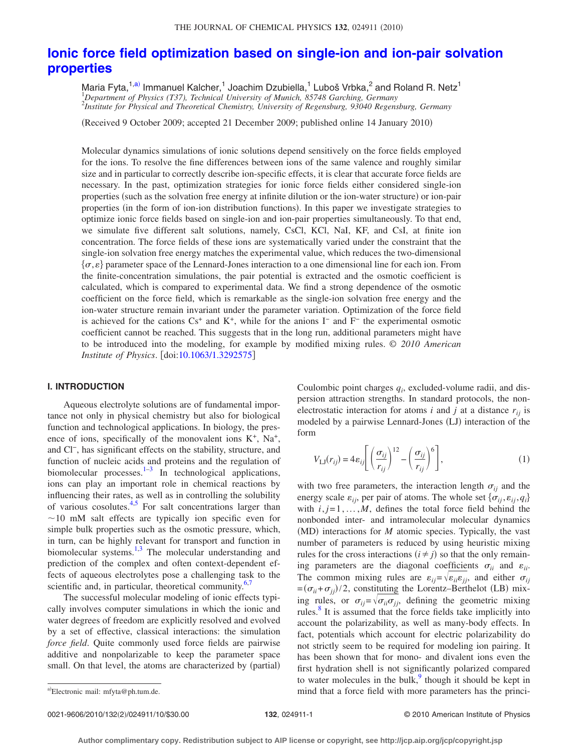# **[Ionic force field optimization based on single-ion and ion-pair solvation](http://dx.doi.org/10.1063/1.3292575) [properties](http://dx.doi.org/10.1063/1.3292575)**

Maria Fyta,<sup>1[,a](#page-0-0))</sup> Immanuel Kalcher,<sup>1</sup> Joachim Dzubiella,<sup>1</sup> Luboš Vrbka,<sup>2</sup> and Roland R. Netz<sup>1</sup><br><sup>1</sup> Department of Physics (T37), Technical University of Munich, 85748 Garching, Germany 2 *Institute for Physical and Theoretical Chemistry, University of Regensburg, 93040 Regensburg, Germany*

(Received 9 October 2009; accepted 21 December 2009; published online 14 January 2010)

Molecular dynamics simulations of ionic solutions depend sensitively on the force fields employed for the ions. To resolve the fine differences between ions of the same valence and roughly similar size and in particular to correctly describe ion-specific effects, it is clear that accurate force fields are necessary. In the past, optimization strategies for ionic force fields either considered single-ion properties (such as the solvation free energy at infinite dilution or the ion-water structure) or ion-pair properties (in the form of ion-ion distribution functions). In this paper we investigate strategies to optimize ionic force fields based on single-ion and ion-pair properties simultaneously. To that end, we simulate five different salt solutions, namely, CsCl, KCl, NaI, KF, and CsI, at finite ion concentration. The force fields of these ions are systematically varied under the constraint that the single-ion solvation free energy matches the experimental value, which reduces the two-dimensional  $\{\sigma, \varepsilon\}$  parameter space of the Lennard-Jones interaction to a one dimensional line for each ion. From the finite-concentration simulations, the pair potential is extracted and the osmotic coefficient is calculated, which is compared to experimental data. We find a strong dependence of the osmotic coefficient on the force field, which is remarkable as the single-ion solvation free energy and the ion-water structure remain invariant under the parameter variation. Optimization of the force field is achieved for the cations Cs<sup>+</sup> and K<sup>+</sup>, while for the anions I<sup>−</sup> and F<sup>−</sup> the experimental osmotic coefficient cannot be reached. This suggests that in the long run, additional parameters might have to be introduced into the modeling, for example by modified mixing rules. © *2010 American Institute of Physics*. doi[:10.1063/1.3292575](http://dx.doi.org/10.1063/1.3292575)

# **I. INTRODUCTION**

Aqueous electrolyte solutions are of fundamental importance not only in physical chemistry but also for biological function and technological applications. In biology, the presence of ions, specifically of the monovalent ions  $K^+$ , Na<sup>+</sup>, and Cl−, has significant effects on the stability, structure, and function of nucleic acids and proteins and the regulation of biomolecular processes. $1-3$  $1-3$  In technological applications, ions can play an important role in chemical reactions by influencing their rates, as well as in controlling the solubility of various cosolutes.<sup>4[,5](#page-8-3)</sup> For salt concentrations larger than  $\sim$ 10 mM salt effects are typically ion specific even for simple bulk properties such as the osmotic pressure, which, in turn, can be highly relevant for transport and function in biomolecular systems. $1,3$  $1,3$  The molecular understanding and prediction of the complex and often context-dependent effects of aqueous electrolytes pose a challenging task to the scientific and, in particular, theoretical community. $6,7$  $6,7$ 

The successful molecular modeling of ionic effects typically involves computer simulations in which the ionic and water degrees of freedom are explicitly resolved and evolved by a set of effective, classical interactions: the simulation *force field*. Quite commonly used force fields are pairwise additive and nonpolarizable to keep the parameter space small. On that level, the atoms are characterized by (partial)

Coulombic point charges *qi* , excluded-volume radii, and dispersion attraction strengths. In standard protocols, the nonelectrostatic interaction for atoms *i* and *j* at a distance  $r_{ii}$  is modeled by a pairwise Lennard-Jones (LJ) interaction of the form

<span id="page-0-1"></span>
$$
V_{\text{LJ}}(r_{ij}) = 4\varepsilon_{ij} \left[ \left( \frac{\sigma_{ij}}{r_{ij}} \right)^{12} - \left( \frac{\sigma_{ij}}{r_{ij}} \right)^{6} \right],\tag{1}
$$

with two free parameters, the interaction length  $\sigma_{ij}$  and the energy scale  $\varepsilon_{ij}$ , per pair of atoms. The whole set  $\{\sigma_{ij}, \varepsilon_{ij}, q_i\}$ with  $i, j = 1, \ldots, M$ , defines the total force field behind the nonbonded inter- and intramolecular molecular dynamics (MD) interactions for *M* atomic species. Typically, the vast number of parameters is reduced by using heuristic mixing rules for the cross interactions  $(i \neq j)$  so that the only remaining parameters are the diagonal coefficients  $\sigma_{ii}$  and  $\varepsilon_{ii}$ . The common mixing rules are  $\varepsilon_{ij} = \sqrt{\varepsilon_{ii} \varepsilon_{jj}}$ , and either  $\sigma_{ij}$  $=(\sigma_{ii} + \sigma_{jj})/2$ , constituting the Lorentz–Berthelot (LB) mixing rules, or  $\sigma_{ij} = \sqrt{\sigma_{ii} \sigma_{jj}}$ , defining the geometric mixing rules. $\frac{8}{3}$  It is assumed that the force fields take implicitly into account the polarizability, as well as many-body effects. In fact, potentials which account for electric polarizability do not strictly seem to be required for modeling ion pairing. It has been shown that for mono- and divalent ions even the first hydration shell is not significantly polarized compared to water molecules in the bulk, $9$  though it should be kept in mind that a force field with more parameters has the princi-

0021-9606/2010/1322/024911/10/\$30.00 © 2010 American Institute of Physics **132**, 024911-1

<span id="page-0-0"></span>Electronic mail: mfyta@ph.tum.de.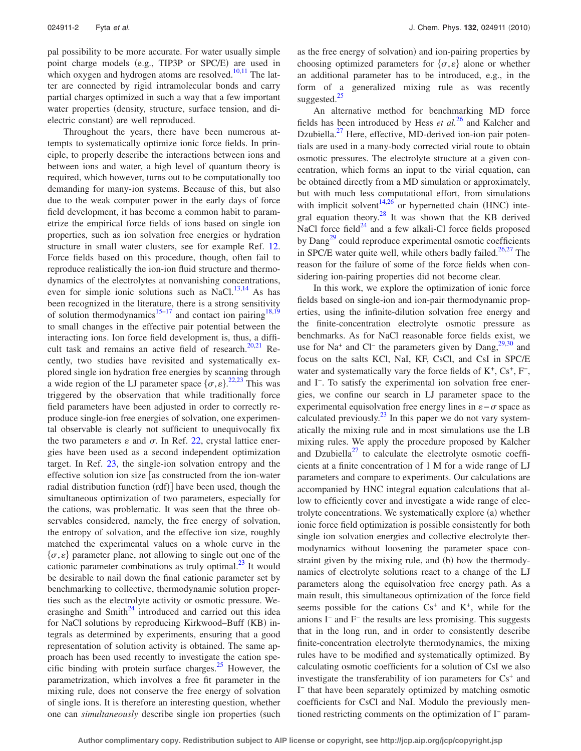pal possibility to be more accurate. For water usually simple point charge models (e.g., TIP3P or SPC/E) are used in which oxygen and hydrogen atoms are resolved.<sup>10,[11](#page-8-9)</sup> The latter are connected by rigid intramolecular bonds and carry partial charges optimized in such a way that a few important water properties density, structure, surface tension, and dielectric constant) are well reproduced.

Throughout the years, there have been numerous attempts to systematically optimize ionic force fields. In principle, to properly describe the interactions between ions and between ions and water, a high level of quantum theory is required, which however, turns out to be computationally too demanding for many-ion systems. Because of this, but also due to the weak computer power in the early days of force field development, it has become a common habit to parametrize the empirical force fields of ions based on single ion properties, such as ion solvation free energies or hydration structure in small water clusters, see for example Ref. [12.](#page-8-10) Force fields based on this procedure, though, often fail to reproduce realistically the ion-ion fluid structure and thermodynamics of the electrolytes at nonvanishing concentrations, even for simple ionic solutions such as NaCl. $^{13,14}$  $^{13,14}$  $^{13,14}$  As has been recognized in the literature, there is a strong sensitivity of solution thermodynamics<sup>15–[17](#page-9-1)</sup> and contact ion pairing<sup>18,[19](#page-9-3)</sup> to small changes in the effective pair potential between the interacting ions. Ion force field development is, thus, a difficult task and remains an active field of research. $20,21$  $20,21$  Recently, two studies have revisited and systematically explored single ion hydration free energies by scanning through a wide region of the LJ parameter space  $\{\sigma, \varepsilon\}$ . <sup>[22,](#page-9-6)[23](#page-9-7)</sup> This was triggered by the observation that while traditionally force field parameters have been adjusted in order to correctly reproduce single-ion free energies of solvation, one experimental observable is clearly not sufficient to unequivocally fix the two parameters  $\varepsilon$  and  $\sigma$ . In Ref. [22,](#page-9-6) crystal lattice energies have been used as a second independent optimization target. In Ref. [23,](#page-9-7) the single-ion solvation entropy and the effective solution ion size  $\lceil$  as constructed from the ion-water radial distribution function (rdf)] have been used, though the simultaneous optimization of two parameters, especially for the cations, was problematic. It was seen that the three observables considered, namely, the free energy of solvation, the entropy of solvation, and the effective ion size, roughly matched the experimental values on a whole curve in the  $\{\sigma, \varepsilon\}$  parameter plane, not allowing to single out one of the cationic parameter combinations as truly optimal. $^{23}$  It would be desirable to nail down the final cationic parameter set by benchmarking to collective, thermodynamic solution properties such as the electrolyte activity or osmotic pressure. Weerasinghe and  $Smith<sup>24</sup>$  introduced and carried out this idea for NaCl solutions by reproducing Kirkwood-Buff (KB) integrals as determined by experiments, ensuring that a good representation of solution activity is obtained. The same approach has been used recently to investigate the cation specific binding with protein surface charges. $^{25}$  However, the parametrization, which involves a free fit parameter in the mixing rule, does not conserve the free energy of solvation of single ions. It is therefore an interesting question, whether one can *simultaneously* describe single ion properties (such

as the free energy of solvation) and ion-pairing properties by choosing optimized parameters for  $\{\sigma, \varepsilon\}$  alone or whether an additional parameter has to be introduced, e.g., in the form of a generalized mixing rule as was recently suggested. $^{25}$ 

An alternative method for benchmarking MD force fields has been introduced by Hess *et al.*[26](#page-9-10) and Kalcher and Dzubiella. $^{27}$  Here, effective, MD-derived ion-ion pair potentials are used in a many-body corrected virial route to obtain osmotic pressures. The electrolyte structure at a given concentration, which forms an input to the virial equation, can be obtained directly from a MD simulation or approximately, but with much less computational effort, from simulations with implicit solvent<sup>14[,26](#page-9-10)</sup> or hypernetted chain (HNC) integral equation theory.<sup>28</sup> It was shown that the KB derived NaCl force field $^{24}$  and a few alkali-Cl force fields proposed by Dang<sup>29</sup> could reproduce experimental osmotic coefficients in SPC/E water quite well, while others badly failed.<sup>26[,27](#page-9-11)</sup> The reason for the failure of some of the force fields when considering ion-pairing properties did not become clear.

In this work, we explore the optimization of ionic force fields based on single-ion and ion-pair thermodynamic properties, using the infinite-dilution solvation free energy and the finite-concentration electrolyte osmotic pressure as benchmarks. As for NaCl reasonable force fields exist, we use for Na<sup>+</sup> and Cl<sup>−</sup> the parameters given by Dang,<sup>29[,30](#page-9-14)</sup> and focus on the salts KCl, NaI, KF, CsCl, and CsI in SPC/E water and systematically vary the force fields of  $K^+$ ,  $Cs^+$ ,  $F^-$ , and I−. To satisfy the experimental ion solvation free energies, we confine our search in LJ parameter space to the experimental equisolvation free energy lines in  $\varepsilon - \sigma$  space as calculated previously. $^{23}$  In this paper we do not vary systematically the mixing rule and in most simulations use the LB mixing rules. We apply the procedure proposed by Kalcher and Dzubiella<sup>27</sup> to calculate the electrolyte osmotic coefficients at a finite concentration of 1 M for a wide range of LJ parameters and compare to experiments. Our calculations are accompanied by HNC integral equation calculations that allow to efficiently cover and investigate a wide range of electrolyte concentrations. We systematically explore (a) whether ionic force field optimization is possible consistently for both single ion solvation energies and collective electrolyte thermodynamics without loosening the parameter space constraint given by the mixing rule, and (b) how the thermodynamics of electrolyte solutions react to a change of the LJ parameters along the equisolvation free energy path. As a main result, this simultaneous optimization of the force field seems possible for the cations  $Cs<sup>+</sup>$  and  $K<sup>+</sup>$ , while for the anions I<sup>−</sup> and F<sup>−</sup> the results are less promising. This suggests that in the long run, and in order to consistently describe finite-concentration electrolyte thermodynamics, the mixing rules have to be modified and systematically optimized. By calculating osmotic coefficients for a solution of CsI we also investigate the transferability of ion parameters for  $Cs<sup>+</sup>$  and I <sup>−</sup> that have been separately optimized by matching osmotic coefficients for CsCl and NaI. Modulo the previously mentioned restricting comments on the optimization of I<sup>−</sup> param-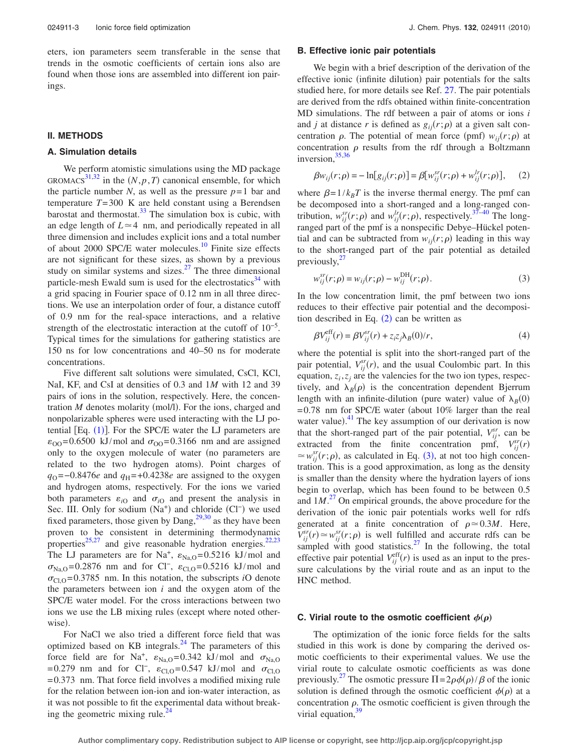eters, ion parameters seem transferable in the sense that trends in the osmotic coefficients of certain ions also are found when those ions are assembled into different ion pairings.

#### **II. METHODS**

#### **A. Simulation details**

We perform atomistic simulations using the MD package GROMACS<sup>[31,](#page-9-15)[32](#page-9-16)</sup> in the  $(N, p, T)$  canonical ensemble, for which the particle number *N*, as well as the pressure  $p=1$  bar and temperature *T*= 300 K are held constant using a Berendsen barostat and thermostat. $33$  The simulation box is cubic, with an edge length of  $L \approx 4$  nm, and periodically repeated in all three dimension and includes explicit ions and a total number of about 2000 SPC/E water molecules.<sup>10</sup> Finite size effects are not significant for these sizes, as shown by a previous study on similar systems and sizes.<sup>27</sup> The three dimensional particle-mesh Ewald sum is used for the electrostatics $34$  with a grid spacing in Fourier space of 0.12 nm in all three directions. We use an interpolation order of four, a distance cutoff of 0.9 nm for the real-space interactions, and a relative strength of the electrostatic interaction at the cutoff of  $10^{-5}$ . Typical times for the simulations for gathering statistics are 150 ns for low concentrations and 40–50 ns for moderate concentrations.

Five different salt solutions were simulated, CsCl, KCl, NaI, KF, and CsI at densities of 0.3 and 1*M* with 12 and 39 pairs of ions in the solution, respectively. Here, the concentration *M* denotes molarity (mol/l). For the ions, charged and nonpolarizable spheres were used interacting with the LJ potential  $[Eq. (1)]$  $[Eq. (1)]$  $[Eq. (1)]$ . For the SPC/E water the LJ parameters are  $\varepsilon_{\text{OO}}$ =0.6500 kJ/mol and  $\sigma_{\text{OO}}$ =0.3166 nm and are assigned only to the oxygen molecule of water (no parameters are related to the two hydrogen atoms). Point charges of  $q_{\rm O} = -0.8476e$  and  $q_{\rm H} = +0.4238e$  are assigned to the oxygen and hydrogen atoms, respectively. For the ions we varied both parameters  $\varepsilon_{iO}$  and  $\sigma_{iO}$  and present the analysis in Sec. III. Only for sodium  $(Na^{+})$  and chloride  $(Cl^{-})$  we used fixed parameters, those given by  $\text{Dang}$ ,  $^{29,30}$  $^{29,30}$  $^{29,30}$  as they have been proven to be consistent in determining thermodynamic properties $^{25,27}$  $^{25,27}$  $^{25,27}$  and give reasonable hydration energies.<sup>22,[23](#page-9-7)</sup> The LJ parameters are for Na<sup>+</sup>,  $\varepsilon_{\text{Na,O}} = 0.5216 \text{ kJ/mol}$  and  $\sigma_{\text{Na,O}} = 0.2876$  nm and for Cl<sup>-</sup>,  $\varepsilon_{\text{Cl,O}} = 0.5216$  kJ/mol and  $\sigma_{\text{Cl}_0}$  = 0.3785 nm. In this notation, the subscripts *i*O denote the parameters between ion *i* and the oxygen atom of the SPC/E water model. For the cross interactions between two ions we use the LB mixing rules (except where noted otherwise).

For NaCl we also tried a different force field that was optimized based on KB integrals. $^{24}$  The parameters of this force field are for Na<sup>+</sup>,  $\varepsilon_{\text{Na,O}} = 0.342 \text{ kJ/mol}$  and  $\sigma_{\text{Na,O}}$ = 0.279 nm and for Cl<sup>−</sup>,  $\varepsilon$ <sub>Cl,O</sub> = 0.547 kJ/mol and  $\sigma$ <sub>Cl,O</sub>  $= 0.373$  nm. That force field involves a modified mixing rule for the relation between ion-ion and ion-water interaction, as it was not possible to fit the experimental data without breaking the geometric mixing rule. $^{24}$ 

## **B. Effective ionic pair potentials**

We begin with a brief description of the derivation of the effective ionic (infinite dilution) pair potentials for the salts studied here, for more details see Ref. [27.](#page-9-11) The pair potentials are derived from the rdfs obtained within finite-concentration MD simulations. The rdf between a pair of atoms or ions *i* and *j* at distance *r* is defined as  $g_{ij}(r;\rho)$  at a given salt concentration  $\rho$ . The potential of mean force (pmf)  $w_{ij}(r;\rho)$  at concentration  $\rho$  results from the rdf through a Boltzmann inversion, $35,36$  $35,36$ 

<span id="page-2-0"></span>
$$
\beta w_{ij}(r;\rho) = -\ln[g_{ij}(r;\rho)] = \beta[w_{ij}^{sr}(r;\rho) + w_{ij}^{lr}(r;\rho)], \quad (2)
$$

where  $\beta = 1/k_B T$  is the inverse thermal energy. The pmf can be decomposed into a short-ranged and a long-ranged contribution,  $w_{ij}^{sr}(r;\rho)$  and  $w_{ij}^{lr}(r;\rho)$ , respectively.<sup>37–[40](#page-9-22)</sup> The longranged part of the pmf is a nonspecific Debye–Hückel potential and can be subtracted from  $w_{ij}(r;\rho)$  leading in this way to the short-ranged part of the pair potential as detailed previously, $27$ 

<span id="page-2-1"></span>
$$
w_{ij}^{sr}(r;\rho) = w_{ij}(r;\rho) - w_{ij}^{\text{DH}}(r;\rho).
$$
\n(3)

In the low concentration limit, the pmf between two ions reduces to their effective pair potential and the decomposition described in Eq.  $(2)$  $(2)$  $(2)$  can be written as

$$
\beta V_{ij}^{\text{eff}}(r) = \beta V_{ij}^{sr}(r) + z_i z_j \lambda_B(0)/r, \qquad (4)
$$

where the potential is split into the short-ranged part of the pair potential,  $V_{ij}^{sr}(r)$ , and the usual Coulombic part. In this equation,  $z_i$ ,  $z_j$  are the valencies for the two ion types, respectively, and  $\lambda_B(\rho)$  is the concentration dependent Bjerrum length with an infinite-dilution (pure water) value of  $\lambda_B(0)$  $= 0.78$  nm for SPC/E water (about 10% larger than the real water value). $41$  The key assumption of our derivation is now that the short-ranged part of the pair potential,  $V_{ij}^{sr}$ , can be extracted from the finite concentration pmf,  $V_{ij}^{sr}(r)$  $\approx w_{ij}^{sr}(r;\rho)$ , as calculated in Eq. ([3](#page-2-1)), at not too high concentration. This is a good approximation, as long as the density is smaller than the density where the hydration layers of ions begin to overlap, which has been found to be between 0.5 and  $1M<sup>27</sup>$  $1M<sup>27</sup>$  $1M<sup>27</sup>$  On empirical grounds, the above procedure for the derivation of the ionic pair potentials works well for rdfs generated at a finite concentration of  $\rho \approx 0.3M$ . Here,  $V_{ij}^{sr}(r) \approx w_{ij}^{sr}(r;\rho)$  is well fulfilled and accurate rdfs can be sampled with good statistics. $27$  In the following, the total effective pair potential  $V_{ij}^{\text{eff}}(r)$  is used as an input to the pressure calculations by the virial route and as an input to the HNC method.

# C. Virial route to the osmotic coefficient  $\phi(\rho)$

The optimization of the ionic force fields for the salts studied in this work is done by comparing the derived osmotic coefficients to their experimental values. We use the virial route to calculate osmotic coefficients as was done previously.<sup>27</sup> The osmotic pressure  $\Pi = 2\rho \phi(\rho)/\beta$  of the ionic solution is defined through the osmotic coefficient  $\phi(\rho)$  at a concentration  $\rho$ . The osmotic coefficient is given through the virial equation,  $39$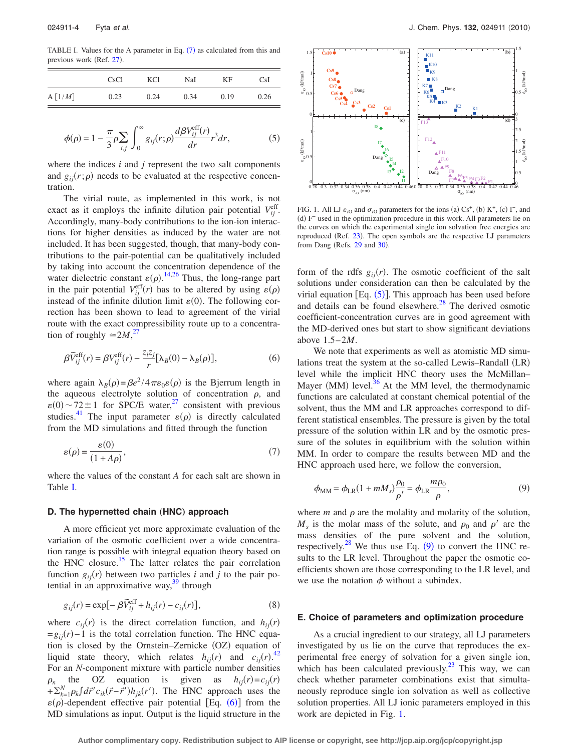<span id="page-3-0"></span>TABLE I. Values for the A parameter in Eq.  $(7)$  $(7)$  $(7)$  as calculated from this and previous work (Ref. [27](#page-9-11)).

|                       | CsCl | KCl  | NaI  | KF   | CsI  |
|-----------------------|------|------|------|------|------|
| $A \lceil 1/M \rceil$ | 0.23 | 0.24 | 0.34 | 0.19 | 0.26 |

<span id="page-3-2"></span>
$$
\phi(\rho) = 1 - \frac{\pi}{3} \rho \sum_{i,j} \int_0^\infty g_{ij}(r;\rho) \frac{d\beta V_{ij}^{\text{eff}}(r)}{dr} r^3 dr,\tag{5}
$$

where the indices *i* and *j* represent the two salt components and  $g_{ij}(r;\rho)$  needs to be evaluated at the respective concentration.

The virial route, as implemented in this work, is not exact as it employs the infinite dilution pair potential  $V_{ij}^{\text{eff}}$ . Accordingly, many-body contributions to the ion-ion interactions for higher densities as induced by the water are not included. It has been suggested, though, that many-body contributions to the pair-potential can be qualitatively included by taking into account the concentration dependence of the water dielectric constant  $\varepsilon(\rho)$ .<sup>[14,](#page-8-12)[26](#page-9-10)</sup> Thus, the long-range part in the pair potential  $V_{ij}^{\text{eff}}(r)$  has to be altered by using  $\varepsilon(\rho)$ instead of the infinite dilution limit  $\varepsilon(0)$ . The following correction has been shown to lead to agreement of the virial route with the exact compressibility route up to a concentration of roughly  $\simeq 2M$ ,  $^{27}$  $^{27}$  $^{27}$ 

<span id="page-3-1"></span>
$$
\beta \widetilde{V}_{ij}^{\text{eff}}(r) = \beta V_{ij}^{\text{eff}}(r) - \frac{z_i z_j}{r} [\lambda_B(0) - \lambda_B(\rho)],\tag{6}
$$

where again  $\lambda_B(\rho) = \beta e^2 / 4 \pi \epsilon_0 \epsilon(\rho)$  is the Bjerrum length in the aqueous electrolyte solution of concentration  $\rho$ , and  $\varepsilon(0)$  ~ 72 ± 1 for SPC/E water,<sup>27</sup> consistent with previous studies.<sup>41</sup> The input parameter  $\varepsilon(\rho)$  is directly calculated from the MD simulations and fitted through the function

<span id="page-3-5"></span>
$$
\varepsilon(\rho) = \frac{\varepsilon(0)}{(1 + A\rho)},\tag{7}
$$

where the values of the constant *A* for each salt are shown in Table [I.](#page-3-0)

#### **D. The hypernetted chain (HNC) approach**

A more efficient yet more approximate evaluation of the variation of the osmotic coefficient over a wide concentration range is possible with integral equation theory based on the HNC closure.<sup>15</sup> The latter relates the pair correlation function  $g_{ij}(r)$  between two particles *i* and *j* to the pair potential in an approximative way,  $39$  through

$$
g_{ij}(r) = \exp[-\beta \widetilde{V}_{ij}^{\text{eff}} + h_{ij}(r) - c_{ij}(r)],\tag{8}
$$

where  $c_{ij}(r)$  is the direct correlation function, and  $h_{ij}(r)$  $=g_{ij}(r)$  – 1 is the total correlation function. The HNC equation is closed by the Ornstein-Zernicke (OZ) equation of liquid state theory, which relates  $h_{ij}(r)$  and  $c_{ij}(r)$ .<sup>[42](#page-9-25)</sup> For an *N*-component mixture with particle number densities  $\rho_n$  the OZ equation is given as  $h_{ij}(r) = c_{ij}(r)$ + $\sum_{k=1}^{N} \rho_k \int d\vec{r}' c_{ik}(\vec{r}-\vec{r}') h_{jk}(r')$ . The HNC approach uses the  $\varepsilon(\rho)$ -dependent effective pair potential [Eq. ([6](#page-3-1))] from the MD simulations as input. Output is the liquid structure in the

<span id="page-3-4"></span>

FIG. 1. All LJ  $\varepsilon_{i0}$  and  $\sigma_{i0}$  parameters for the ions (a) Cs<sup>+</sup>, (b) K<sup>+</sup>, (c) I<sup>-</sup>, and (d) F<sup>−</sup> used in the optimization procedure in this work. All parameters lie on the curves on which the experimental single ion solvation free energies are reproduced (Ref. [23](#page-9-7)). The open symbols are the respective LJ parameters from Dang (Refs.  $29$  and  $30$ ).

form of the rdfs  $g_{ij}(r)$ . The osmotic coefficient of the salt solutions under consideration can then be calculated by the virial equation  $[Eq. (5)]$  $[Eq. (5)]$  $[Eq. (5)]$ . This approach has been used before and details can be found elsewhere.<sup>28</sup> The derived osmotic coefficient-concentration curves are in good agreement with the MD-derived ones but start to show significant deviations above 1.5– 2*M*.

We note that experiments as well as atomistic MD simulations treat the system at the so-called Lewis–Randall (LR) level while the implicit HNC theory uses the McMillan– Mayer (MM) level. $36$  At the MM level, the thermodynamic functions are calculated at constant chemical potential of the solvent, thus the MM and LR approaches correspond to different statistical ensembles. The pressure is given by the total pressure of the solution within LR and by the osmotic pressure of the solutes in equilibrium with the solution within MM. In order to compare the results between MD and the HNC approach used here, we follow the conversion,

<span id="page-3-3"></span>
$$
\phi_{\rm MM} = \phi_{\rm LR} (1 + m M_s) \frac{\rho_0}{\rho'} = \phi_{\rm LR} \frac{m \rho_0}{\rho},\tag{9}
$$

where *m* and  $\rho$  are the molality and molarity of the solution,  $M_s$  is the molar mass of the solute, and  $\rho_0$  and  $\rho'$  are the mass densities of the pure solvent and the solution, respectively.<sup>28</sup> We thus use Eq.  $(9)$  $(9)$  $(9)$  to convert the HNC results to the LR level. Throughout the paper the osmotic coefficients shown are those corresponding to the LR level, and we use the notation  $\phi$  without a subindex.

#### **E. Choice of parameters and optimization procedure**

As a crucial ingredient to our strategy, all LJ parameters investigated by us lie on the curve that reproduces the experimental free energy of solvation for a given single ion, which has been calculated previously.<sup>23</sup> This way, we can check whether parameter combinations exist that simultaneously reproduce single ion solvation as well as collective solution properties. All LJ ionic parameters employed in this work are depicted in Fig. [1.](#page-3-4)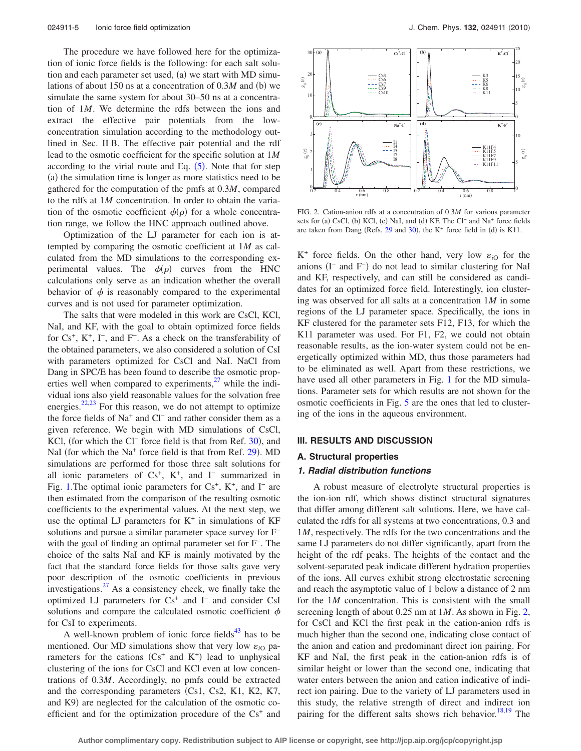The procedure we have followed here for the optimization of ionic force fields is the following: for each salt solution and each parameter set used, (a) we start with MD simulations of about 150 ns at a concentration of  $0.3M$  and (b) we simulate the same system for about 30–50 ns at a concentration of 1*M*. We determine the rdfs between the ions and extract the effective pair potentials from the lowconcentration simulation according to the methodology outlined in Sec. II B. The effective pair potential and the rdf lead to the osmotic coefficient for the specific solution at 1*M* according to the virial route and Eq.  $(5)$  $(5)$  $(5)$ . Note that for step (a) the simulation time is longer as more statistics need to be gathered for the computation of the pmfs at 0.3*M*, compared to the rdfs at 1*M* concentration. In order to obtain the variation of the osmotic coefficient  $\phi(\rho)$  for a whole concentration range, we follow the HNC approach outlined above.

Optimization of the LJ parameter for each ion is attempted by comparing the osmotic coefficient at 1*M* as calculated from the MD simulations to the corresponding experimental values. The  $\phi(\rho)$  curves from the HNC calculations only serve as an indication whether the overall behavior of  $\phi$  is reasonably compared to the experimental curves and is not used for parameter optimization.

The salts that were modeled in this work are CsCl, KCl, NaI, and KF, with the goal to obtain optimized force fields for  $Cs^+$ ,  $K^+$ ,  $I^-$ , and  $F^-$ . As a check on the transferability of the obtained parameters, we also considered a solution of CsI with parameters optimized for CsCl and NaI. NaCl from Dang in SPC/E has been found to describe the osmotic properties well when compared to experiments, $27$  while the individual ions also yield reasonable values for the solvation free energies. $22,23$  $22,23$  For this reason, we do not attempt to optimize the force fields of Na+ and Cl− and rather consider them as a given reference. We begin with MD simulations of CsCl, KCl, (for which the Cl<sup>−</sup> force field is that from Ref. [30](#page-9-14)), and NaI (for which the  $Na<sup>+</sup>$  force field is that from Ref. [29](#page-9-13)). MD simulations are performed for those three salt solutions for all ionic parameters of Cs+, K+, and I− summarized in Fig. [1.](#page-3-4) The optimal ionic parameters for  $Cs^+$ ,  $K^+$ , and I<sup>-</sup> are then estimated from the comparison of the resulting osmotic coefficients to the experimental values. At the next step, we use the optimal LJ parameters for  $K^+$  in simulations of  $KF$ solutions and pursue a similar parameter space survey for F<sup>−</sup> with the goal of finding an optimal parameter set for F−. The choice of the salts NaI and KF is mainly motivated by the fact that the standard force fields for those salts gave very poor description of the osmotic coefficients in previous investigations. $27$  As a consistency check, we finally take the optimized LJ parameters for Cs+ and I<sup>−</sup> and consider CsI solutions and compare the calculated osmotic coefficient  $\phi$ for CsI to experiments.

A well-known problem of ionic force fields $43$  has to be mentioned. Our MD simulations show that very low  $\varepsilon_{i0}$  parameters for the cations  $(Cs<sup>+</sup>$  and  $K<sup>+</sup>)$  lead to unphysical clustering of the ions for CsCl and KCl even at low concentrations of 0.3*M*. Accordingly, no pmfs could be extracted and the corresponding parameters Cs1, Cs2, K1, K2, K7, and K9) are neglected for the calculation of the osmotic coefficient and for the optimization procedure of the Cs<sup>+</sup> and

<span id="page-4-0"></span>

FIG. 2. Cation-anion rdfs at a concentration of 0.3*M* for various parameter sets for (a) CsCl, (b) KCl, (c) NaI, and (d) KF. The Cl<sup>-</sup> and Na<sup>+</sup> force fields are taken from Dang (Refs. [29](#page-9-13) and [30](#page-9-14)), the  $K^+$  force field in (d) is K11.

 $K^+$  force fields. On the other hand, very low  $\varepsilon_{i0}$  for the anions  $(I^-$  and  $F^-$ ) do not lead to similar clustering for NaI and KF, respectively, and can still be considered as candidates for an optimized force field. Interestingly, ion clustering was observed for all salts at a concentration 1*M* in some regions of the LJ parameter space. Specifically, the ions in KF clustered for the parameter sets F12, F13, for which the K<sub>11</sub> parameter was used. For F<sub>1</sub>, F<sub>2</sub>, we could not obtain reasonable results, as the ion-water system could not be energetically optimized within MD, thus those parameters had to be eliminated as well. Apart from these restrictions, we have used all other parameters in Fig. [1](#page-3-4) for the MD simulations. Parameter sets for which results are not shown for the osmotic coefficients in Fig. [5](#page-6-0) are the ones that led to clustering of the ions in the aqueous environment.

## **III. RESULTS AND DISCUSSION**

#### **A. Structural properties**

### *1. Radial distribution functions*

A robust measure of electrolyte structural properties is the ion-ion rdf, which shows distinct structural signatures that differ among different salt solutions. Here, we have calculated the rdfs for all systems at two concentrations, 0.3 and 1*M*, respectively. The rdfs for the two concentrations and the same LJ parameters do not differ significantly, apart from the height of the rdf peaks. The heights of the contact and the solvent-separated peak indicate different hydration properties of the ions. All curves exhibit strong electrostatic screening and reach the asymptotic value of 1 below a distance of 2 nm for the 1*M* concentration. This is consistent with the small screening length of about 0.25 nm at 1*M*. As shown in Fig. [2,](#page-4-0) for CsCl and KCl the first peak in the cation-anion rdfs is much higher than the second one, indicating close contact of the anion and cation and predominant direct ion pairing. For KF and NaI, the first peak in the cation-anion rdfs is of similar height or lower than the second one, indicating that water enters between the anion and cation indicative of indirect ion pairing. Due to the variety of LJ parameters used in this study, the relative strength of direct and indirect ion pairing for the different salts shows rich behavior.<sup>18[,19](#page-9-3)</sup> The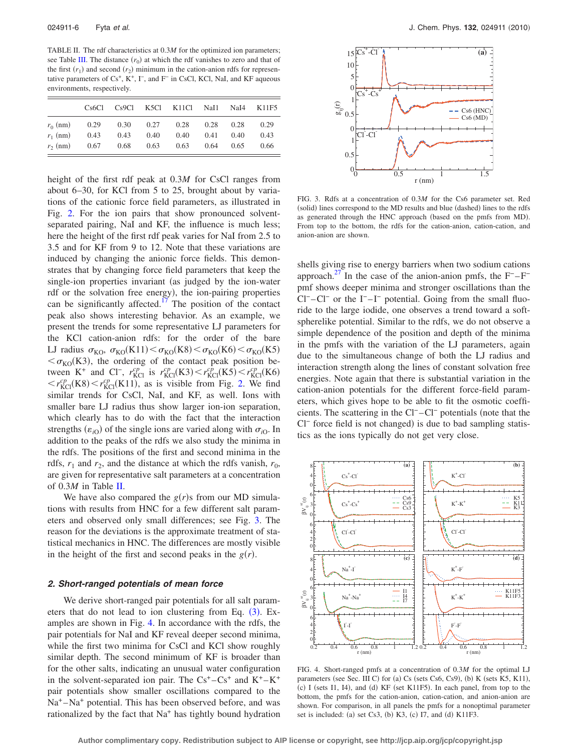<span id="page-5-0"></span>TABLE II. The rdf characteristics at 0.3*M* for the optimized ion parameters; see Table [III.](#page-6-1) The distance  $(r_0)$  at which the rdf vanishes to zero and that of the first  $(r_1)$  and second  $(r_2)$  minimum in the cation-anion rdfs for representative parameters of Cs+, K+, I−, and F− in CsCl, KCl, NaI, and KF aqueous environments, respectively.

|            | Cs6Cl |             |      | Cs9Cl K5Cl K11Cl NaI1 NaI4 K11F5 |      |      |      |
|------------|-------|-------------|------|----------------------------------|------|------|------|
| $r_0$ (nm) |       |             |      | $0.29$ $0.30$ $0.27$ $0.28$      | 0.28 | 0.28 | 0.29 |
| $r_1$ (nm) | 0.43  | 0.43        | 0.40 | 0.40                             | 0.41 | 0.40 | 0.43 |
| $r_2$ (nm) | 0.67  | $0.68$ 0.63 |      | 0.63                             | 0.64 | 0.65 | 0.66 |

height of the first rdf peak at 0.3*M* for CsCl ranges from about 6–30, for KCl from 5 to 25, brought about by variations of the cationic force field parameters, as illustrated in Fig. [2.](#page-4-0) For the ion pairs that show pronounced solventseparated pairing, NaI and KF, the influence is much less; here the height of the first rdf peak varies for NaI from 2.5 to 3.5 and for KF from 9 to 12. Note that these variations are induced by changing the anionic force fields. This demonstrates that by changing force field parameters that keep the single-ion properties invariant (as judged by the ion-water rdf or the solvation free energy), the ion-pairing properties can be significantly affected.<sup>17</sup> The position of the contact peak also shows interesting behavior. As an example, we present the trends for some representative LJ parameters for the KCl cation-anion rdfs: for the order of the bare LJ radius  $\sigma_{KO}$ ,  $\sigma_{KO}$ (K11)  $< \sigma_{KO}$ (K8)  $< \sigma_{KO}$ (K6)  $< \sigma_{KO}$ (K5)  $<\sigma_{\text{KO}}(K3)$ , the ordering of the contact peak position between K<sup>+</sup> and Cl<sup>-</sup>,  $r_{\text{KCl}}^{cp}$  is  $r_{\text{KCl}}^{cp}$ (K3)  $\lt r_{\text{KCl}}^{cp}$ (K5)  $\lt r_{\text{KCl}}^{cp}$ (K6)  $\langle r_{\text{KCl}}^{\text{cp}}(K8) \rangle \langle r_{\text{KCl}}^{\text{cp}}(K11) \rangle$ , as is visible from Fig. [2.](#page-4-0) We find similar trends for CsCl, NaI, and KF, as well. Ions with smaller bare LJ radius thus show larger ion-ion separation, which clearly has to do with the fact that the interaction strengths  $(\varepsilon_{i0})$  of the single ions are varied along with  $\sigma_{i0}$ . In addition to the peaks of the rdfs we also study the minima in the rdfs. The positions of the first and second minima in the rdfs,  $r_1$  and  $r_2$ , and the distance at which the rdfs vanish,  $r_0$ , are given for representative salt parameters at a concentration of 0.3*M* in Table [II.](#page-5-0)

We have also compared the  $g(r)$ s from our MD simulations with results from HNC for a few different salt parameters and observed only small differences; see Fig. [3.](#page-5-1) The reason for the deviations is the approximate treatment of statistical mechanics in HNC. The differences are mostly visible in the height of the first and second peaks in the  $g(r)$ .

## *2. Short-ranged potentials of mean force*

We derive short-ranged pair potentials for all salt param-eters that do not lead to ion clustering from Eq. ([3](#page-2-1)). Examples are shown in Fig. [4.](#page-5-2) In accordance with the rdfs, the pair potentials for NaI and KF reveal deeper second minima, while the first two minima for CsCl and KCl show roughly similar depth. The second minimum of KF is broader than for the other salts, indicating an unusual water configuration in the solvent-separated ion pair. The  $Cs^+ - Cs^+$  and  $K^+ - K^+$ pair potentials show smaller oscillations compared to the  $Na<sup>+</sup> – Na<sup>+</sup>$  potential. This has been observed before, and was rationalized by the fact that Na<sup>+</sup> has tightly bound hydration

<span id="page-5-1"></span>

FIG. 3. Rdfs at a concentration of 0.3*M* for the Cs6 parameter set. Red (solid) lines correspond to the MD results and blue (dashed) lines to the rdfs as generated through the HNC approach (based on the pmfs from MD). From top to the bottom, the rdfs for the cation-anion, cation-cation, and anion-anion are shown.

shells giving rise to energy barriers when two sodium cations approach.<sup>27</sup> In the case of the anion-anion pmfs, the F<sup>-</sup>-F<sup>-</sup> pmf shows deeper minima and stronger oscillations than the Cl− –Cl− or the I<sup>−</sup> – I<sup>−</sup> potential. Going from the small fluoride to the large iodide, one observes a trend toward a softspherelike potential. Similar to the rdfs, we do not observe a simple dependence of the position and depth of the minima in the pmfs with the variation of the LJ parameters, again due to the simultaneous change of both the LJ radius and interaction strength along the lines of constant solvation free energies. Note again that there is substantial variation in the cation-anion potentials for the different force-field parameters, which gives hope to be able to fit the osmotic coefficients. The scattering in the Cl<sup>−</sup>−Cl<sup>−</sup> potentials (note that the Cl<sup>-</sup> force field is not changed) is due to bad sampling statistics as the ions typically do not get very close.

<span id="page-5-2"></span>

FIG. 4. Short-ranged pmfs at a concentration of 0.3*M* for the optimal LJ parameters (see Sec. III C) for (a) Cs (sets Cs6, Cs9), (b) K (sets K5, K11), (c) I (sets I1, I4), and (d) KF (set K11F5). In each panel, from top to the bottom, the pmfs for the cation-anion, cation-cation, and anion-anion are shown. For comparison, in all panels the pmfs for a nonoptimal parameter set is included: (a) set Cs3, (b) K3, (c) I7, and (d) K11F3.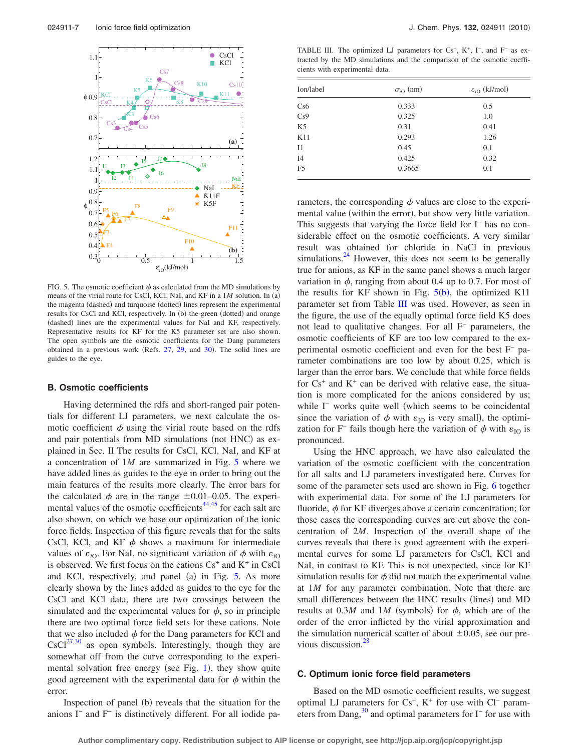<span id="page-6-0"></span>

FIG. 5. The osmotic coefficient  $\phi$  as calculated from the MD simulations by means of the virial route for CsCl, KCl, NaI, and KF in a 1*M* solution. In (a) the magenta (dashed) and turquoise (dotted) lines represent the experimental results for CsCl and KCl, respectively. In (b) the green (dotted) and orange (dashed) lines are the experimental values for NaI and KF, respectively. Representative results for KF for the K5 parameter set are also shown. The open symbols are the osmotic coefficients for the Dang parameters obtained in a previous work (Refs. [27,](#page-9-11) [29,](#page-9-13) and [30](#page-9-14)). The solid lines are guides to the eye.

#### **B. Osmotic coefficients**

Having determined the rdfs and short-ranged pair potentials for different LJ parameters, we next calculate the osmotic coefficient  $\phi$  using the virial route based on the rdfs and pair potentials from MD simulations (not HNC) as explained in Sec. II The results for CsCl, KCl, NaI, and KF at a concentration of 1*M* are summarized in Fig. [5](#page-6-0) where we have added lines as guides to the eye in order to bring out the main features of the results more clearly. The error bars for the calculated  $\phi$  are in the range  $\pm 0.01 - 0.05$ . The experimental values of the osmotic coefficients $44,45$  $44,45$  for each salt are also shown, on which we base our optimization of the ionic force fields. Inspection of this figure reveals that for the salts CsCl, KCl, and KF  $\phi$  shows a maximum for intermediate values of  $\varepsilon_{iO}$ . For NaI, no significant variation of  $\phi$  with  $\varepsilon_{iO}$ is observed. We first focus on the cations  $Cs<sup>+</sup>$  and  $K<sup>+</sup>$  in CsCl and KCl, respectively, and panel (a) in Fig. [5.](#page-6-0) As more clearly shown by the lines added as guides to the eye for the CsCl and KCl data, there are two crossings between the simulated and the experimental values for  $\phi$ , so in principle there are two optimal force field sets for these cations. Note that we also included  $\phi$  for the Dang parameters for KCl and  $CsCl<sup>27,30</sup>$  $CsCl<sup>27,30</sup>$  $CsCl<sup>27,30</sup>$  as open symbols. Interestingly, though they are somewhat off from the curve corresponding to the experi-mental solvation free energy (see Fig. [1](#page-3-4)), they show quite good agreement with the experimental data for  $\phi$  within the error.

Inspection of panel (b) reveals that the situation for the anions I<sup>−</sup> and F<sup>−</sup> is distinctively different. For all iodide pa-

<span id="page-6-1"></span>TABLE III. The optimized LJ parameters for  $Cs^+$ ,  $K^+$ ,  $I^-$ , and  $F^-$  as extracted by the MD simulations and the comparison of the osmotic coefficients with experimental data.

| Ion/label      | $\sigma_{i0}$ (nm) | $\varepsilon_{iO}$ (kJ/mol) |
|----------------|--------------------|-----------------------------|
| Cs6            | 0.333              | 0.5                         |
| Cs9            | 0.325              | 1.0                         |
| K <sub>5</sub> | 0.31               | 0.41                        |
| K11            | 0.293              | 1.26                        |
| $_{11}$        | 0.45               | 0.1                         |
| I <sub>4</sub> | 0.425              | 0.32                        |
| F <sub>5</sub> | 0.3665             | 0.1                         |

rameters, the corresponding  $\phi$  values are close to the experimental value (within the error), but show very little variation. This suggests that varying the force field for I<sup>−</sup> has no considerable effect on the osmotic coefficients. A very similar result was obtained for chloride in NaCl in previous simulations.<sup>24</sup> However, this does not seem to be generally true for anions, as KF in the same panel shows a much larger variation in  $\phi$ , ranging from about 0.4 up to 0.7. For most of the results for KF shown in Fig.  $5(b)$  $5(b)$ , the optimized K11 parameter set from Table [III](#page-6-1) was used. However, as seen in the figure, the use of the equally optimal force field K5 does not lead to qualitative changes. For all F<sup>−</sup> parameters, the osmotic coefficients of KF are too low compared to the experimental osmotic coefficient and even for the best F<sup>−</sup> parameter combinations are too low by about 0.25, which is larger than the error bars. We conclude that while force fields for  $Cs^+$  and  $K^+$  can be derived with relative ease, the situation is more complicated for the anions considered by us; while I<sup>−</sup> works quite well (which seems to be coincidental since the variation of  $\phi$  with  $\varepsilon_{\text{IO}}$  is very small), the optimization for F<sup>-</sup> fails though here the variation of  $\phi$  with  $\varepsilon_{\text{IO}}$  is pronounced.

Using the HNC approach, we have also calculated the variation of the osmotic coefficient with the concentration for all salts and LJ parameters investigated here. Curves for some of the parameter sets used are shown in Fig. [6](#page-7-0) together with experimental data. For some of the LJ parameters for fluoride,  $\phi$  for KF diverges above a certain concentration; for those cases the corresponding curves are cut above the concentration of 2*M*. Inspection of the overall shape of the curves reveals that there is good agreement with the experimental curves for some LJ parameters for CsCl, KCl and NaI, in contrast to KF. This is not unexpected, since for KF simulation results for  $\phi$  did not match the experimental value at 1*M* for any parameter combination. Note that there are small differences between the HNC results (lines) and MD results at  $0.3M$  and  $1M$  (symbols) for  $\phi$ , which are of the order of the error inflicted by the virial approximation and the simulation numerical scatter of about  $\pm 0.05$ , see our previous discussion.<sup>28</sup>

## **C. Optimum ionic force field parameters**

Based on the MD osmotic coefficient results, we suggest optimal LJ parameters for Cs+, K+ for use with Cl− parameters from Dang,<sup>30</sup> and optimal parameters for  $I^-$  for use with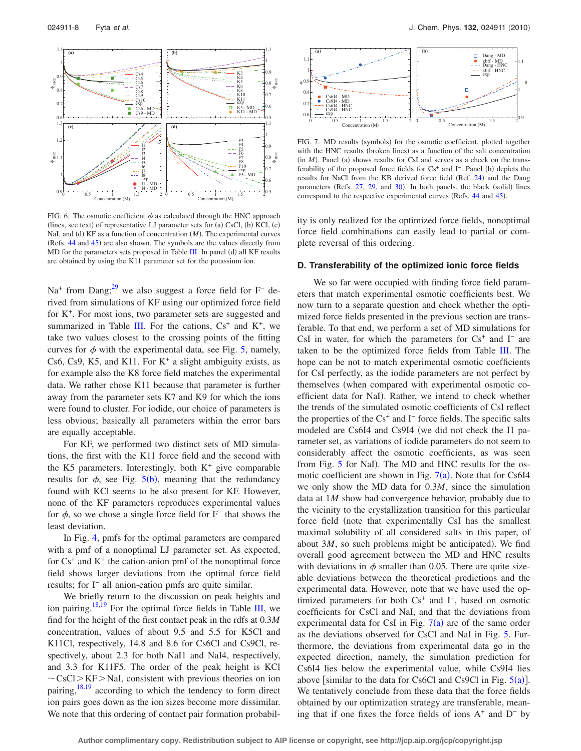<span id="page-7-0"></span>

FIG. 6. The osmotic coefficient  $\phi$  as calculated through the HNC approach (lines, see text) of representative LJ parameter sets for (a) CsCl, (b) KCl, (c) NaI, and (d) KF as a function of concentration (M). The experimental curves (Refs. [44](#page-9-27) and [45](#page-9-28)) are also shown. The symbols are the values directly from MD for the parameters sets proposed in Table [III.](#page-6-1) In panel (d) all KF results are obtained by using the K11 parameter set for the potassium ion.

Na<sup>+</sup> from Dang;<sup>29</sup> we also suggest a force field for F<sup>−</sup> derived from simulations of KF using our optimized force field for  $K^+$ . For most ions, two parameter sets are suggested and summarized in Table [III.](#page-6-1) For the cations,  $Cs^+$  and  $K^+$ , we take two values closest to the crossing points of the fitting curves for  $\phi$  with the experimental data, see Fig. [5,](#page-6-0) namely, Cs6, Cs9, K5, and K11. For  $K^+$  a slight ambiguity exists, as for example also the K8 force field matches the experimental data. We rather chose K11 because that parameter is further away from the parameter sets K7 and K9 for which the ions were found to cluster. For iodide, our choice of parameters is less obvious; basically all parameters within the error bars are equally acceptable.

For KF, we performed two distinct sets of MD simulations, the first with the K11 force field and the second with the K5 parameters. Interestingly, both  $K^+$  give comparable results for  $\phi$ , see Fig.  $5(b)$  $5(b)$ , meaning that the redundancy found with KCl seems to be also present for KF. However, none of the KF parameters reproduces experimental values for  $\phi$ , so we chose a single force field for F<sup>−</sup> that shows the least deviation.

In Fig. [4,](#page-5-2) pmfs for the optimal parameters are compared with a pmf of a nonoptimal LJ parameter set. As expected, for  $Cs<sup>+</sup>$  and  $K<sup>+</sup>$  the cation-anion pmf of the nonoptimal force field shows larger deviations from the optimal force field results; for I<sup>−</sup> all anion-cation pmfs are quite similar.

We briefly return to the discussion on peak heights and ion pairing.<sup>18,[19](#page-9-3)</sup> For the optimal force fields in Table [III,](#page-6-1) we find for the height of the first contact peak in the rdfs at 0.3*M* concentration, values of about 9.5 and 5.5 for K5Cl and K11Cl, respectively, 14.8 and 8.6 for Cs6Cl and Cs9Cl, respectively, about 2.3 for both NaI1 and NaI4, respectively, and 3.3 for K11F5. The order of the peak height is KCl  $\sim$  CsCl $>$ KF $>$ NaI, consistent with previous theories on ion pairing, $18,19$  $18,19$  according to which the tendency to form direct ion pairs goes down as the ion sizes become more dissimilar. We note that this ordering of contact pair formation probabil-

<span id="page-7-1"></span>

FIG. 7. MD results (symbols) for the osmotic coefficient, plotted together with the HNC results (broken lines) as a function of the salt concentration  $(in M)$ . Panel  $(a)$  shows results for CsI and serves as a check on the transferability of the proposed force fields for Cs<sup>+</sup> and I<sup>−</sup>. Panel (b) depicts the results for NaCl from the KB derived force field (Ref. [24](#page-9-8)) and the Dang parameters (Refs. [27,](#page-9-11) [29,](#page-9-13) and [30](#page-9-14)). In both panels, the black (solid) lines correspond to the respective experimental curves (Refs. [44](#page-9-27) and [45](#page-9-28)).

ity is only realized for the optimized force fields, nonoptimal force field combinations can easily lead to partial or complete reversal of this ordering.

## **D. Transferability of the optimized ionic force fields**

We so far were occupied with finding force field parameters that match experimental osmotic coefficients best. We now turn to a separate question and check whether the optimized force fields presented in the previous section are transferable. To that end, we perform a set of MD simulations for CsI in water, for which the parameters for  $Cs<sup>+</sup>$  and I<sup>-</sup> are taken to be the optimized force fields from Table [III.](#page-6-1) The hope can be not to match experimental osmotic coefficients for CsI perfectly, as the iodide parameters are not perfect by themselves (when compared with experimental osmotic coefficient data for NaI). Rather, we intend to check whether the trends of the simulated osmotic coefficients of CsI reflect the properties of the Cs+ and I<sup>−</sup> force fields. The specific salts modeled are Cs6I4 and Cs9I4 (we did not check the I1 parameter set, as variations of iodide parameters do not seem to considerably affect the osmotic coefficients, as was seen from Fig. [5](#page-6-0) for NaI). The MD and HNC results for the osmotic coefficient are shown in Fig.  $7(a)$  $7(a)$ . Note that for Cs6I4 we only show the MD data for 0.3*M*, since the simulation data at 1*M* show bad convergence behavior, probably due to the vicinity to the crystallization transition for this particular force field (note that experimentally CsI has the smallest maximal solubility of all considered salts in this paper, of about  $3M$ , so such problems might be anticipated). We find overall good agreement between the MD and HNC results with deviations in  $\phi$  smaller than 0.05. There are quite sizeable deviations between the theoretical predictions and the experimental data. However, note that we have used the optimized parameters for both Cs<sup>+</sup> and I<sup>−</sup>, based on osmotic coefficients for CsCl and NaI, and that the deviations from experimental data for CsI in Fig.  $7(a)$  $7(a)$  are of the same order as the deviations observed for CsCl and NaI in Fig. [5.](#page-6-0) Furthermore, the deviations from experimental data go in the expected direction, namely, the simulation prediction for Cs6I4 lies below the experimental value, while Cs9I4 lies above [similar to the data for Cs6Cl and Cs9Cl in Fig.  $5(a)$  $5(a)$ ]. We tentatively conclude from these data that the force fields obtained by our optimization strategy are transferable, meaning that if one fixes the force fields of ions A<sup>+</sup> and D<sup>−</sup> by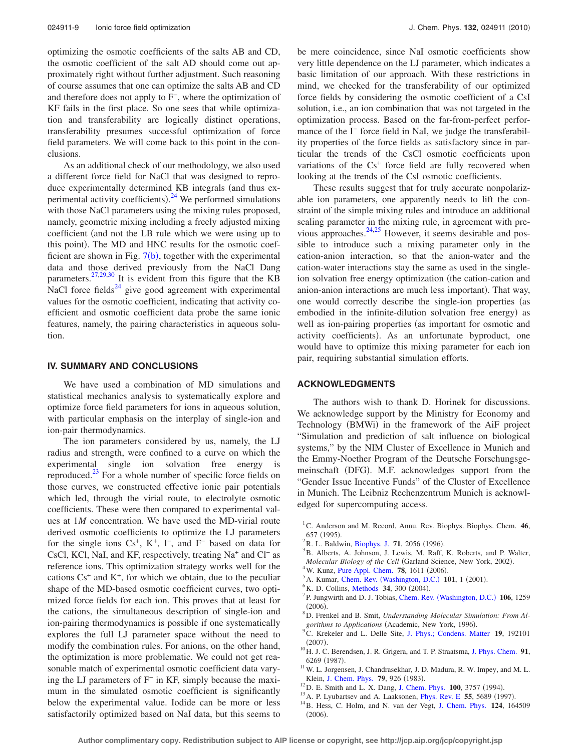optimizing the osmotic coefficients of the salts AB and CD, the osmotic coefficient of the salt AD should come out approximately right without further adjustment. Such reasoning of course assumes that one can optimize the salts AB and CD and therefore does not apply to F−, where the optimization of KF fails in the first place. So one sees that while optimization and transferability are logically distinct operations, transferability presumes successful optimization of force field parameters. We will come back to this point in the conclusions.

As an additional check of our methodology, we also used a different force field for NaCl that was designed to reproduce experimentally determined KB integrals (and thus ex-perimental activity coefficients).<sup>[24](#page-9-8)</sup> We performed simulations with those NaCl parameters using the mixing rules proposed, namely, geometric mixing including a freely adjusted mixing coefficient (and not the LB rule which we were using up to this point). The MD and HNC results for the osmotic coefficient are shown in Fig.  $7(b)$  $7(b)$ , together with the experimental data and those derived previously from the NaCl Dang parameters.<sup>27[,29,](#page-9-13)[30](#page-9-14)</sup> It is evident from this figure that the KB NaCl force fields $^{24}$  give good agreement with experimental values for the osmotic coefficient, indicating that activity coefficient and osmotic coefficient data probe the same ionic features, namely, the pairing characteristics in aqueous solution.

# **IV. SUMMARY AND CONCLUSIONS**

We have used a combination of MD simulations and statistical mechanics analysis to systematically explore and optimize force field parameters for ions in aqueous solution, with particular emphasis on the interplay of single-ion and ion-pair thermodynamics.

The ion parameters considered by us, namely, the LJ radius and strength, were confined to a curve on which the experimental single ion solvation free energy is reproduced. $^{23}$  For a whole number of specific force fields on those curves, we constructed effective ionic pair potentials which led, through the virial route, to electrolyte osmotic coefficients. These were then compared to experimental values at 1*M* concentration. We have used the MD-virial route derived osmotic coefficients to optimize the LJ parameters for the single ions  $Cs^+$ ,  $K^+$ ,  $I^-$ , and  $F^-$  based on data for CsCl, KCl, NaI, and KF, respectively, treating Na+ and Cl− as reference ions. This optimization strategy works well for the cations  $Cs<sup>+</sup>$  and  $K<sup>+</sup>$ , for which we obtain, due to the peculiar shape of the MD-based osmotic coefficient curves, two optimized force fields for each ion. This proves that at least for the cations, the simultaneous description of single-ion and ion-pairing thermodynamics is possible if one systematically explores the full LJ parameter space without the need to modify the combination rules. For anions, on the other hand, the optimization is more problematic. We could not get reasonable match of experimental osmotic coefficient data varying the LJ parameters of F<sup>−</sup> in KF, simply because the maximum in the simulated osmotic coefficient is significantly below the experimental value. Iodide can be more or less satisfactorily optimized based on NaI data, but this seems to

be mere coincidence, since NaI osmotic coefficients show very little dependence on the LJ parameter, which indicates a basic limitation of our approach. With these restrictions in mind, we checked for the transferability of our optimized force fields by considering the osmotic coefficient of a CsI solution, i.e., an ion combination that was not targeted in the optimization process. Based on the far-from-perfect performance of the I<sup>−</sup> force field in NaI, we judge the transferability properties of the force fields as satisfactory since in particular the trends of the CsCl osmotic coefficients upon variations of the  $Cs<sup>+</sup>$  force field are fully recovered when looking at the trends of the CsI osmotic coefficients.

These results suggest that for truly accurate nonpolarizable ion parameters, one apparently needs to lift the constraint of the simple mixing rules and introduce an additional scaling parameter in the mixing rule, in agreement with previous approaches. $24,25$  $24,25$  However, it seems desirable and possible to introduce such a mixing parameter only in the cation-anion interaction, so that the anion-water and the cation-water interactions stay the same as used in the singleion solvation free energy optimization (the cation-cation and anion-anion interactions are much less important). That way, one would correctly describe the single-ion properties (as embodied in the infinite-dilution solvation free energy) as well as ion-pairing properties (as important for osmotic and activity coefficients). As an unfortunate byproduct, one would have to optimize this mixing parameter for each ion pair, requiring substantial simulation efforts.

## **ACKNOWLEDGMENTS**

The authors wish to thank D. Horinek for discussions. We acknowledge support by the Ministry for Economy and Technology (BMWi) in the framework of the AiF project "Simulation and prediction of salt influence on biological systems," by the NIM Cluster of Excellence in Munich and the Emmy-Noether Program of the Deutsche Forschungsgemeinschaft (DFG). M.F. acknowledges support from the "Gender Issue Incentive Funds" of the Cluster of Excellence in Munich. The Leibniz Rechenzentrum Munich is acknowledged for supercomputing access.

- <span id="page-8-0"></span>1 C. Anderson and M. Record, Annu. Rev. Biophys. Biophys. Chem. **46**,  $^{657}$  (1995).
- <sup>2</sup> R. L. Baldwin, [Biophys. J.](http://dx.doi.org/10.1016/S0006-3495(96)79404-3) **71**, 2056 (1996).
- <span id="page-8-1"></span><sup>3</sup>B. Alberts, A. Johnson, J. Lewis, M. Raff, K. Roberts, and P. Walter,
- *Molecular Biology of the Cell* (Garland Science, New York, 2002).
- <span id="page-8-3"></span><span id="page-8-2"></span><sup>4</sup>W. Kunz, [Pure Appl. Chem.](http://dx.doi.org/10.1351/pac200678081611) **78**, 1611 (2006). <sup>5</sup> A. Kumar, Chem. Rev. ([Washington, D.C.](http://dx.doi.org/10.1021/cr990410+)) **101**, 1 (2001).
- <span id="page-8-4"></span><sup>6</sup>K. D. Collins, [Methods](http://dx.doi.org/10.1016/j.ymeth.2004.03.021) **34**, 300 (2004).
- <span id="page-8-5"></span>P. Jungwirth and D. J. Tobias, Chem. Rev. ([Washington, D.C.](http://dx.doi.org/10.1021/cr0403741)) 106, 1259  $(2006).$
- <span id="page-8-6"></span>(2006).<br><sup>8</sup> D. Frenkel and B. Smit, *Understanding Molecular Simulation: From Al-*
- <span id="page-8-7"></span>gorithms to Applications (Academic, New York, 1996).<br><sup>9</sup>C. Krekeler and L. Delle Site, [J. Phys.; Condens. Matter](http://dx.doi.org/10.1088/0953-8984/19/19/192101) **19**, 192101  $(2007).$
- <span id="page-8-8"></span><sup>10</sup>H. J. C. Berendsen, J. R. Grigera, and T. P. Straatsma, [J. Phys. Chem.](http://dx.doi.org/10.1021/j100308a038) 91, 6269 (1987).
- <span id="page-8-9"></span><sup>11</sup> W. L. Jorgensen, J. Chandrasekhar, J. D. Madura, R. W. Impey, and M. L. Klein, [J. Chem. Phys.](http://dx.doi.org/10.1063/1.445869) **79**, 926 (1983).
- <span id="page-8-10"></span><sup>12</sup> D. E. Smith and L. X. Dang, [J. Chem. Phys.](http://dx.doi.org/10.1063/1.466363) **100**, 3757 (1994).
- <span id="page-8-11"></span><sup>13</sup> A. P. Lyubartsev and A. Laaksonen, *[Phys. Rev. E](http://dx.doi.org/10.1103/PhysRevE.55.5689)* **55**, 5689 (1997).
- <span id="page-8-12"></span>. 14B. Hess, C. Holm, and N. van der Vegt, [J. Chem. Phys.](http://dx.doi.org/10.1063/1.2185105) **<sup>124</sup>**, 164509  $(2006).$